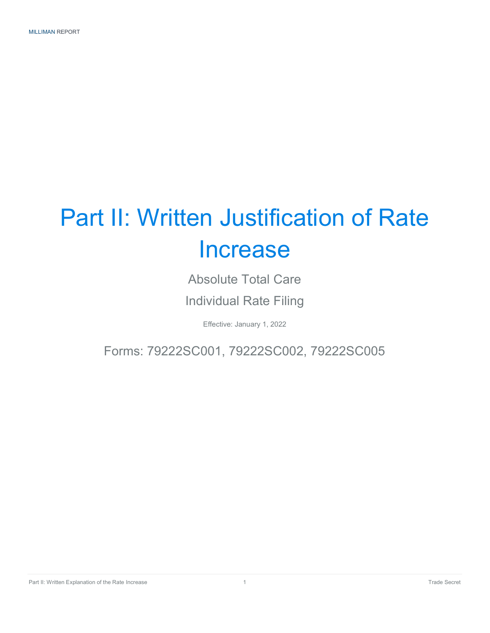## Part II: Written Justification of Rate Increase

Absolute Total Care

Individual Rate Filing

Effective: January 1, 2022

Forms: 79222SC001, 79222SC002, 79222SC005